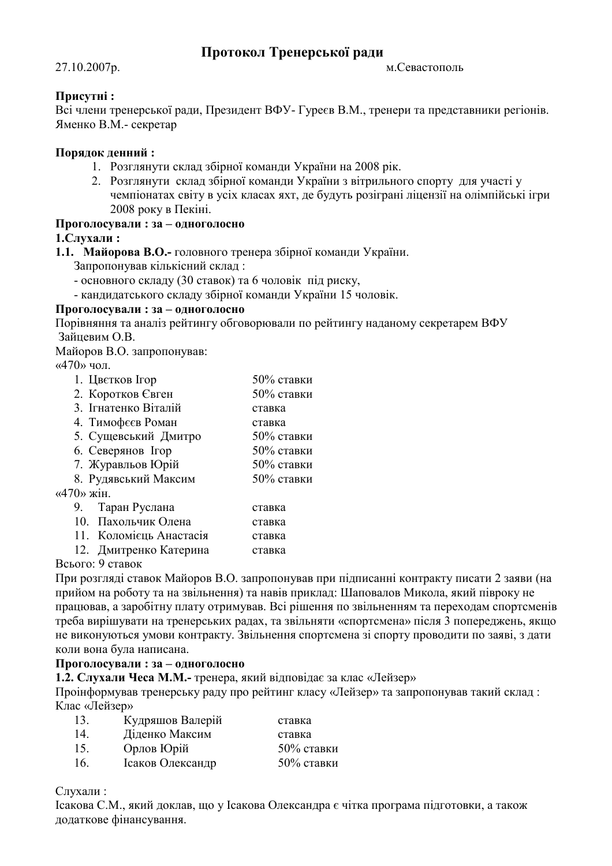# Протокол Тренерської ради

## 27.10.2007p.

м. Севастополь

## Присутні:

Всі члени тренерської ради, Президент ВФУ-Гуреєв В.М., тренери та представники регіонів. Яменко В.М. - секретар

## Порядок денний:

- 1. Розглянути склал збірної команли України на 2008 рік.
- 2. Розглянути склад збірної команди України з вітрильного спорту для участі у чемпіонатах світу в усіх класах яхт, де будуть розіграні ліцензії на олімпійські ігри 2008 року в Пекіні.

## Проголосували: за - одноголосно

## 1. Слухали:

1.1. Майорова В.О.- головного тренера збірної команди України.

Запропонував кількісний склад:

- основного складу (30 ставок) та 6 чоловік під риску,
- кандидатського складу збірної команди України 15 чоловік.

## Проголосували: за - одноголосно

Порівняння та аналіз рейтингу обговорювали по рейтингу наданому секретарем ВФУ Зайцевим О.В.

Майоров В.О. запропонував:

 $\langle 470 \rangle$  чол.

| 1. Цветков Ігор            | $50\%$ ставки |  |  |  |
|----------------------------|---------------|--|--|--|
| 2. Коротков Євген          | 50% ставки    |  |  |  |
| 3. Ігнатенко Віталій       | ставка        |  |  |  |
| 4. Тимофеєв Роман          | ставка        |  |  |  |
| 5. Сущевський Дмитро       | 50% ставки    |  |  |  |
| 6. Северянов Ігор          | $50\%$ ставки |  |  |  |
| 7. Журавльов Юрій          | 50% ставки    |  |  |  |
| 8. Рудявський Максим       | $50\%$ ставки |  |  |  |
| $\langle 470 \rangle$ жін. |               |  |  |  |
| 9. Таран Руслана           | ставка        |  |  |  |
| 10. Пахольчик Олена        | ставка        |  |  |  |
| 11. Коломієць Анастасія    | ставка        |  |  |  |
|                            |               |  |  |  |

12. Дмитренко Катерина ставка

## Всього: 9 ставок

При розгляді ставок Майоров В.О. запропонував при підписанні контракту писати 2 заяви (на прийом на роботу та на звільнення) та навів приклад: Шаповалов Микола, який півроку не працював, а заробітну плату отримував. Всі рішення по звільненням та переходам спортсменів треба вирішувати на тренерських радах, та звільняти «спортсмена» після 3 попереджень, якщо не виконуються умови контракту. Звільнення спортсмена зі спорту проводити по заяві, з дати коли вона була написана.

#### Проголосували: за - одноголосно

1.2. Слухали Чеса М.М.- тренера, який відповідає за клас «Лейзер»

Проінформував тренерську раду про рейтинг класу «Лейзер» та запропонував такий склад: Клас «Лейзер»

| 13. | Кудряшов Валерій | ставка        |
|-----|------------------|---------------|
| 14. | Діденко Максим   | ставка        |
| 15. | Орлов Юрій       | $50\%$ ставки |
| 16. | Ісаков Олександр | $50\%$ ставки |

## Слухали:

Ісакова С.М., який доклав, що у Ісакова Олександра є чітка програма підготовки, а також додаткове фінансування.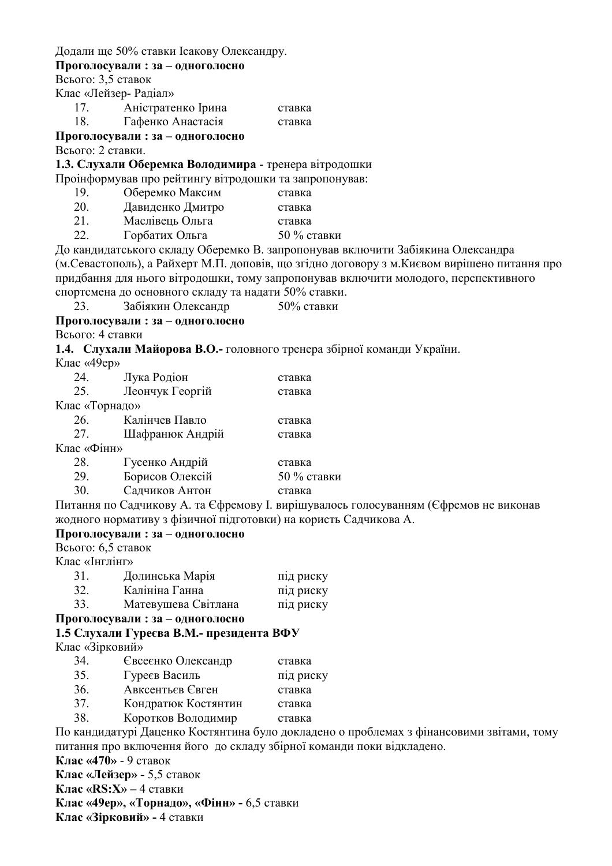Додали ще 50% ставки Ісакову Олександру.

## Проголосували: за - одноголосно

Всього: 3,5 ставок

- Клас «Лейзер- Радіал»
	- 17. Аністратенко Ірина ставка
	- Гафенко Анастасія 18 ставка

# Проголосували: за - одноголосно

Всього: 2 ставки.

## 1.3. Слухали Оберемка Володимира - тренера вітродошки

Проінформував про рейтингу вітродошки та запропонував:

- Оберемко Максим 19. ставка
- 20 Давиденко Дмитро ставка
- $21$ Маслівень Ольга ставка
- $22$ Горбатих Ольга 50 % ставки

До кандидатського складу Оберемко В. запропонував включити Забіякина Олександра (м. Севастополь), а Райхерт М.П. доповів, що згідно договору з м. Києвом вирішено питання про придбання для нього вітродошки, тому запропонував включити молодого, перспективного спортсмена до основного складу та надати 50% ставки.

Забіякин Олександр  $50\%$  ставки

23 Проголосували: за - одноголосно

Всього: 4 ставки

1.4. Слухали Майорова В.О.- головного тренера збірної команди України.

Клас «49en»

| 24.            | Лука Родіон     | ставка        |
|----------------|-----------------|---------------|
| 25.            | Леончук Георгій | ставка        |
| Клас «Торнадо» |                 |               |
| 26.            | Калінчев Павло  | ставка        |
| 27.            | Шафранюк Андрій | ставка        |
| Клас «Фінн»    |                 |               |
| 28.            | Гусенко Андрій  | ставка        |
| 29.            | Борисов Олексій | $50\%$ ставки |
| 30.            | Садчиков Антон  | ставка        |

Питання по Садчикову А. та Єфремову I. вирішувалось голосуванням (Єфремов не виконав жодного нормативу з фізичної підготовки) на користь Садчикова А.

## Проголосували: за - одноголосно

 $B<sub>CB</sub>$ ого: 6.5 ставок

Клас «Інглінг»

| 31. | Долинська Марія     | під риску |
|-----|---------------------|-----------|
| 32. | Калініна Ганна      | під риску |
| 33. | Матевушева Світлана | під риску |

## Проголосували: за - одноголосно

## 1.5 Слухали Гуреєва В.М.- президента ВФУ

Клас «Зірковий»

- $34$ Євсеєнко Олександр ставка 35. Гуреєв Василь під риску
- $36<sup>°</sup>$ Авксентьєв Євген ставка
- 37. Кондратюк Костянтин ставка
- 38 Коротков Володимир ставка

По кандидатурі Даценко Костянтина було докладено о проблемах з фінансовими звітами, тому питання про включення його до складу збірної команди поки відкладено.

Клас «470» - 9 ставок

Клас «Лейзер» - 5,5 ставок

Клас «RS: $X$ » – 4 ставки

Клас «49ер», «Торнадо», «Фінн» - 6,5 ставки

Клас «Зірковий» - 4 ставки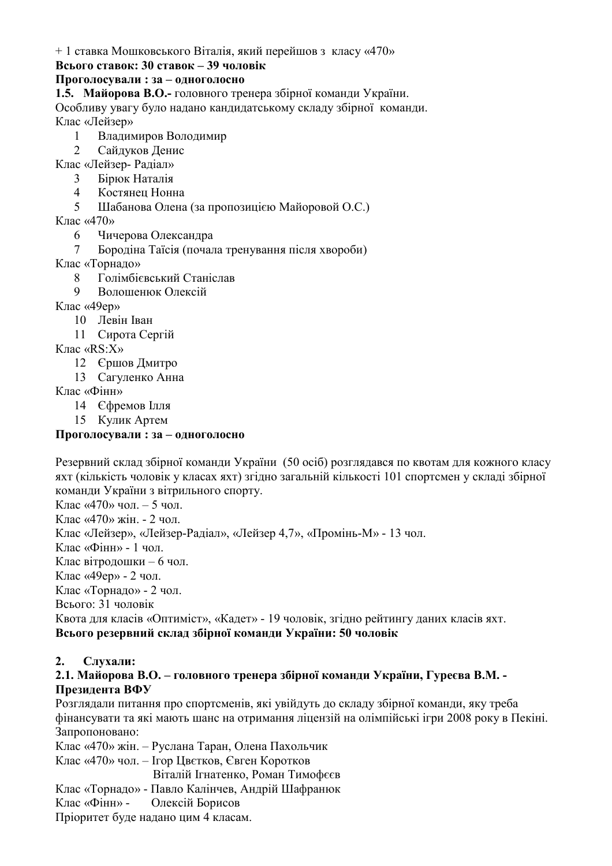+1 ставка Мошковського Віталія, який перейшов з класу «470»

## Всього ставок: 30 ставок – 39 чоловік

## Проголосували: за - одноголосно

1.5. Майорова В.О.- головного тренера збірної команди України.

Особливу увагу було надано кандидатському складу збірної команди. Клас «Лейзер»

- Владимиров Володимир  $\mathbf{1}$
- $\mathcal{L}$ Сайдуков Денис
- Клас «Лейзер- Радіал»
	- Бірюк Наталія  $\mathcal{E}$
	- Костянец Нонна  $\overline{4}$
	- Шабанова Олена (за пропозицією Майоровой О.С.)  $\overline{5}$
- Клас «470»
	- Чичерова Олександра 6
	- Бородіна Таїсія (почала тренування після хвороби)  $\tau$
- Клас «Торнадо»
	- Голімбієвський Станіслав  $\mathsf{R}$
	- $\mathbf{Q}$ Волошенюк Олексій
- Клас «49ер»
	- 10 Левін Іван
	- 11 Сирота Сергій

Клас «RS:X»

- 12 Єршов Дмитро
- 13 Сагуленко Анна

Клас «Фінн»

- 14 Єфремов Ілля
- 15 Кулик Артем

## Проголосували: за - одноголосно

Резервний склад збірної команди України (50 осіб) розглядався по квотам для кожного класу яхт (кількість чоловік у класах яхт) згідно загальній кількості 101 спортсмен у складі збірної команди України з вітрильного спорту.

Клас «470» чол. - 5 чол.

Клас «470» жін - 2 чол

Клас «Лейзер», «Лейзер-Радіал», «Лейзер 4,7», «Промінь-М» - 13 чол.

Клас «Фінн» - 1 чол.

Клас вітродошки – 6 чол.

Клас «49ер» - 2 чол.

Клас «Торнало» - 2 чол.

Всього: 31 чоловік

Квота для класів «Оптиміст», «Кадет» - 19 чоловік, згідно рейтингу даних класів яхт. Всього резервний склад збірної команди України: 50 чоловік

#### $2.$ Слухали:

#### 2.1. Майорова В.О. – головного тренера збірної команди України, Гуреєва В.М. -Президента ВФУ

Розглядали питання про спортсменів, які увійдуть до складу збірної команди, яку треба фінансувати та які мають шанс на отримання ліцензій на олімпійські ігри 2008 року в Пекіні. Запропоновано:

Клас «470» жін. – Руслана Таран, Олена Пахольчик

Клас «470» чол. – Ігор Цвєтков, Євген Коротков

Віталій Ігнатенко, Роман Тимофєєв

Клас «Торнадо» - Павло Калінчев, Андрій Шафранюк

Клас «Фінн» -Олексій Борисов

Пріоритет буде надано цим 4 класам.